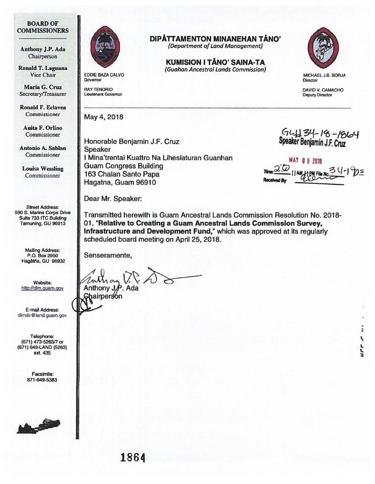## BOARD OF COMMISSIONERS

Anthony J.P. Ada Chairperson

Ronald T. Laguana Vice Chair **EDDIE BAZA CALVO** 

Maria G. Cruz<br>ecretary/Treasurer Lieutenant Governor Secretary/Treasurer

Ronald F. Eclavea Commissioner

Anita F. Orlino Commissioner

Antonio A. Sablan Commissioner

Louisa Wessling Commissioner

Street Address: 590 S. Marine Corps Drive Suite 733 ITC Building Tamuning, GU 96913

> Mailing Address: P.O. Box 2950 Hagãtña, GU 96932

Website: http://dlm.guam.gov

E-mail Address: dlmdir@land.guam.gov

Telephone: (671) 473-5263/7 or (671) 649-LAND (5263) ext. 435

> Facsimile: 671-649-5383





Governor

May 4, 2018

Honorable Benjamin J.F. Cruz Speaker <sup>I</sup> Mina'trentai Kuaffro Na Liheslaturan Guanhan Guam Congress Building 163 Chalan Santo Papa Hagatna, Guam 96910

Dear Mr. Speaker:

Transmitted herewith is Guam Ancestral Lands Commission Resolution No. 2018- 01, "Relative to Creating a Guam Ancestral Lands Commission Survey, Infrastructure and Development Fund," which was approved at its regularly scheduled board meeting on April 25, 2018.

KUMISION I TANO' SAINA-TA (Guahan Ancestral Lands Commission)

DIPÄTTAMENTON MINANEHAN TÄNO' (Department of Land Management)

Senseramente,

Anthony J.P. Ada Chairpersón



MICHAEL J.B. BORJA **Director** 

DAVID V. CAMACHO Deputy Director

 $GL \perp B$  34 - 18 - 1864

**MAY 09 2018** Tnez[JAM jieL Reed8y \_\_\_\_\_\_\_

٩